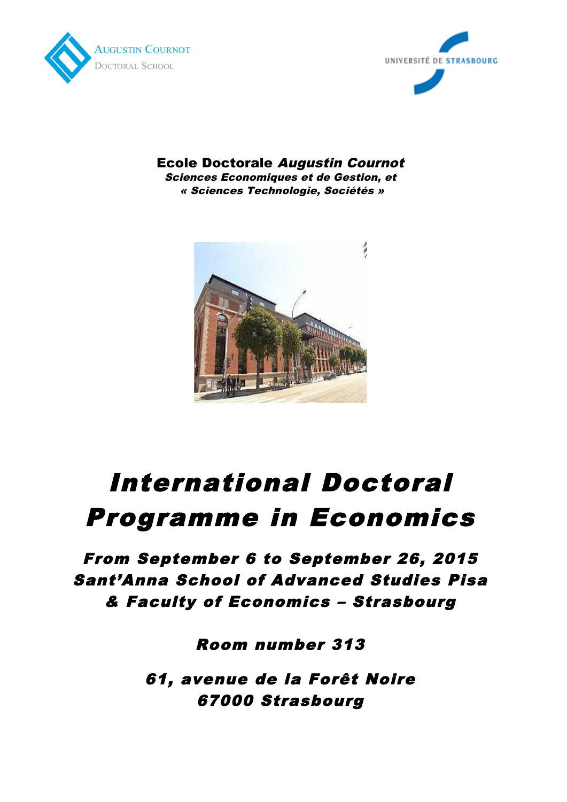



Ecole Doctorale Augustin Cournot Sciences Economiques et de Gestion, et « Sciences Technologie, Sociétés »



# International Doctoral Programme in Economics

From September 6 to September 26, 2015 Sant'Anna School of Advanced Studies Pisa & Faculty of Economics – Strasbourg

Room number 313

61, avenue de la Forêt Noire 67000 Strasbourg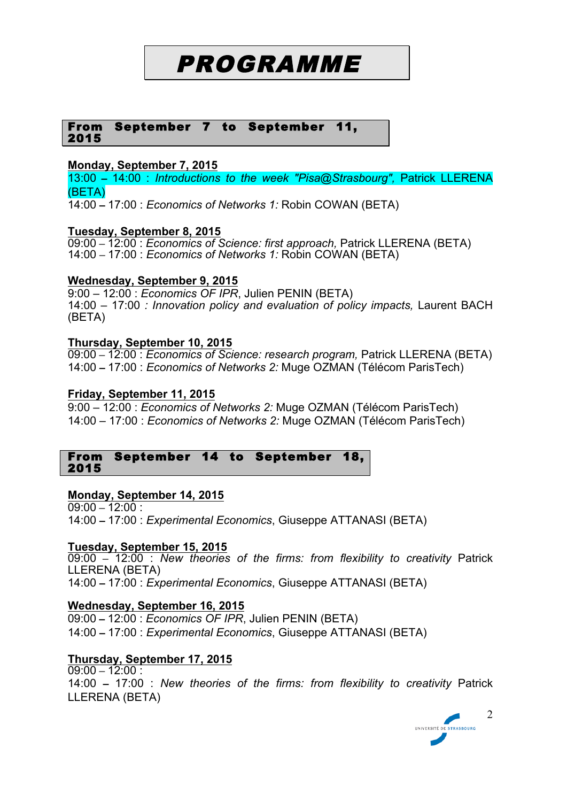# PROGRAMME

#### From September 7 to September 11, 2015

# **Monday, September 7, 2015**

13:00 **–** 14:00 : *Introductions to the week "Pisa@Strasbourg",* Patrick LLERENA (BETA)

14:00 **–** 17:00 : *Economics of Networks 1:* Robin COWAN (BETA)

#### **Tuesday, September 8, 2015**

09:00 **–** 12:00 : *Economics of Science: first approach,* Patrick LLERENA (BETA) 14:00 **–** 17:00 : *Economics of Networks 1:* Robin COWAN (BETA)

#### **Wednesday, September 9, 2015**

9:00 – 12:00 : *Economics OF IPR*, Julien PENIN (BETA) 14:00 – 17:00 *: Innovation policy and evaluation of policy impacts,* Laurent BACH (BETA)

#### **Thursday, September 10, 2015**

09:00 **–** 12:00 : *Economics of Science: research program,* Patrick LLERENA (BETA) 14:00 **–** 17:00 : *Economics of Networks 2:* Muge OZMAN (Télécom ParisTech)

#### **Friday, September 11, 2015**

9:00 – 12:00 : *Economics of Networks 2:* Muge OZMAN (Télécom ParisTech) 14:00 – 17:00 : *Economics of Networks 2:* Muge OZMAN (Télécom ParisTech)

#### From September 14 to September 18, 2015

# **Monday, September 14, 2015**

09:00 **–** 12:00 : 14:00 **–** 17:00 : *Experimental Economics*, Giuseppe ATTANASI (BETA)

#### **Tuesday, September 15, 2015**

09:00 **–** 12:00 : *New theories of the firms: from flexibility to creativity* Patrick LLERENA (BETA) 14:00 **–** 17:00 : *Experimental Economics*, Giuseppe ATTANASI (BETA)

# **Wednesday, September 16, 2015**

09:00 **–** 12:00 : *Economics OF IPR*, Julien PENIN (BETA) 14:00 **–** 17:00 : *Experimental Economics*, Giuseppe ATTANASI (BETA)

# **Thursday, September 17, 2015**

09:00 **–** 12:00 : 14:00 **–** 17:00 : *New theories of the firms: from flexibility to creativity* Patrick LLERENA (BETA)